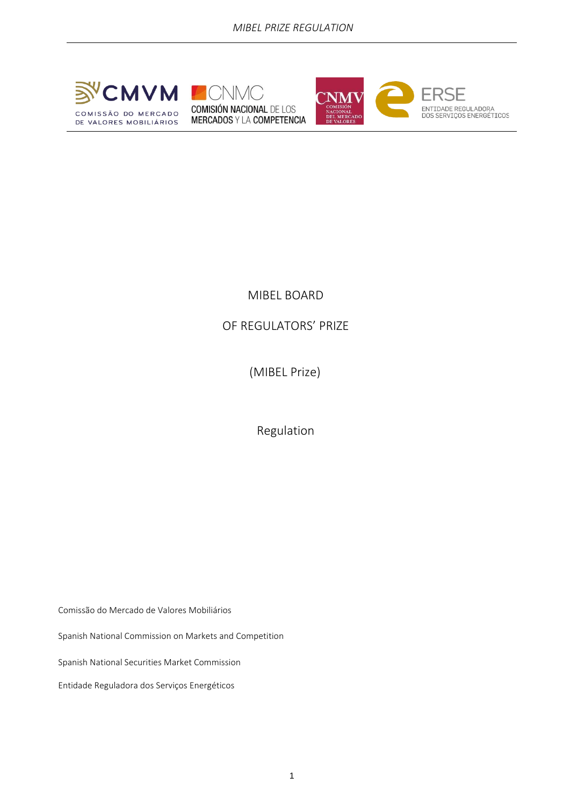





# MIBEL BOARD

# OF REGULATORS' PRIZE

(MIBEL Prize)

Regulation

Comissão do Mercado de Valores Mobiliários

Spanish National Commission on Markets and Competition

Spanish National Securities Market Commission

Entidade Reguladora dos Serviços Energéticos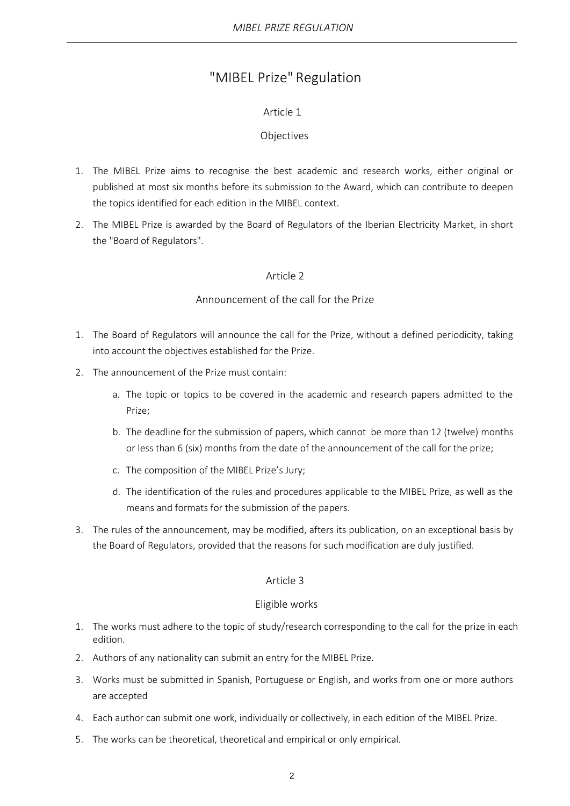# "MIBEL Prize" Regulation

# Article 1

# Objectives

- 1. The MIBEL Prize aims to recognise the best academic and research works, either original or published at most six months before its submission to the Award, which can contribute to deepen the topics identified for each edition in the MIBEL context.
- 2. The MIBEL Prize is awarded by the Board of Regulators of the Iberian Electricity Market, in short the "Board of Regulators".

# Article 2

# Announcement of the call for the Prize

- 1. The Board of Regulators will announce the call for the Prize, without a defined periodicity, taking into account the objectives established for the Prize.
- 2. The announcement of the Prize must contain:
	- a. The topic or topics to be covered in the academic and research papers admitted to the Prize;
	- b. The deadline for the submission of papers, which cannot be more than 12 (twelve) months or less than 6 (six) months from the date of the announcement of the call for the prize;
	- c. The composition of the MIBEL Prize's Jury;
	- d. The identification of the rules and procedures applicable to the MIBEL Prize, as well as the means and formats for the submission of the papers.
- 3. The rules of the announcement, may be modified, afters its publication, on an exceptional basis by the Board of Regulators, provided that the reasons for such modification are duly justified.

# Article 3

#### Eligible works

- 1. The works must adhere to the topic of study/research corresponding to the call for the prize in each edition.
- 2. Authors of any nationality can submit an entry for the MIBEL Prize.
- 3. Works must be submitted in Spanish, Portuguese or English, and works from one or more authors are accepted
- 4. Each author can submit one work, individually or collectively, in each edition of the MIBEL Prize.
- 5. The works can be theoretical, theoretical and empirical or only empirical.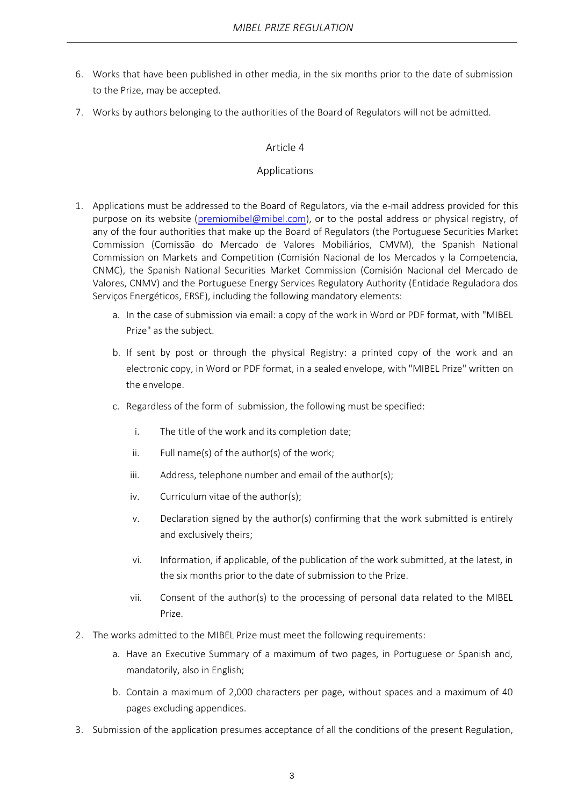- 6. Works that have been published in other media, in the six months prior to the date of submission to the Prize, may be accepted.
- 7. Works by authors belonging to the authorities of the Board of Regulators will not be admitted.

#### Article 4

#### Applications

- 1. Applications must be addressed to the Board of Regulators, via the e-mail address provided for this purpose on its website [\(premiomibel@mibel.com\)](mailto:premiomibel@mibel.com), or to the postal address or physical registry, of any of the four authorities that make up the Board of Regulators (the Portuguese Securities Market Commission (Comissão do Mercado de Valores Mobiliários, CMVM), the Spanish National Commission on Markets and Competition (Comisión Nacional de los Mercados y la Competencia, CNMC), the Spanish National Securities Market Commission (Comisión Nacional del Mercado de Valores, CNMV) and the Portuguese Energy Services Regulatory Authority (Entidade Reguladora dos Serviços Energéticos, ERSE), including the following mandatory elements:
	- a. In the case of submission via email: a copy of the work in Word or PDF format, with "MIBEL Prize" as the subject.
	- b. If sent by post or through the physical Registry: a printed copy of the work and an electronic copy, in Word or PDF format, in a sealed envelope, with "MIBEL Prize" written on the envelope.
	- c. Regardless of the form of submission, the following must be specified:
		- i. The title of the work and its completion date;
		- ii. Full name(s) of the author(s) of the work;
		- iii. Address, telephone number and email of the author(s);
		- iv. Curriculum vitae of the author(s);
		- v. Declaration signed by the author(s) confirming that the work submitted is entirely and exclusively theirs;
		- vi. Information, if applicable, of the publication of the work submitted, at the latest, in the six months prior to the date of submission to the Prize.
		- vii. Consent of the author(s) to the processing of personal data related to the MIBEL Prize.
- 2. The works admitted to the MIBEL Prize must meet the following requirements:
	- a. Have an Executive Summary of a maximum of two pages, in Portuguese or Spanish and, mandatorily, also in English;
	- b. Contain a maximum of 2,000 characters per page, without spaces and a maximum of 40 pages excluding appendices.
- 3. Submission of the application presumes acceptance of all the conditions of the present Regulation,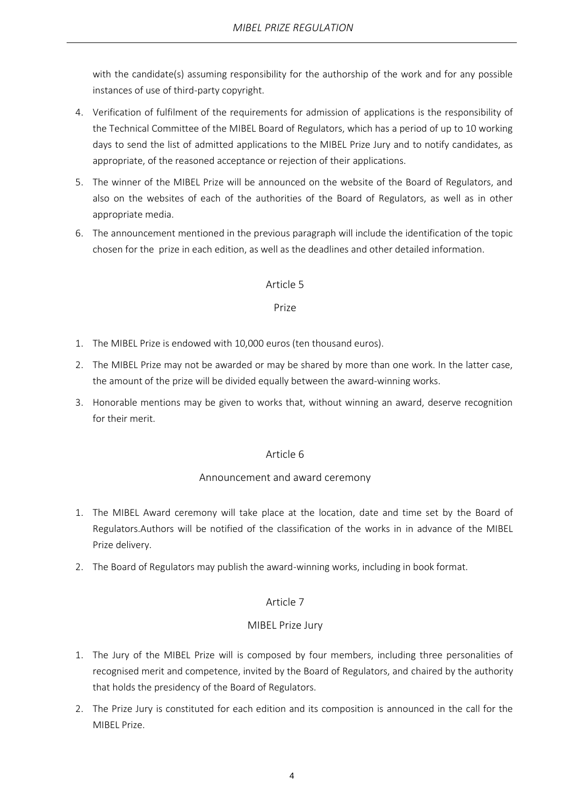with the candidate(s) assuming responsibility for the authorship of the work and for any possible instances of use of third-party copyright.

- 4. Verification of fulfilment of the requirements for admission of applications is the responsibility of the Technical Committee of the MIBEL Board of Regulators, which has a period of up to 10 working days to send the list of admitted applications to the MIBEL Prize Jury and to notify candidates, as appropriate, of the reasoned acceptance or rejection of their applications.
- 5. The winner of the MIBEL Prize will be announced on the website of the Board of Regulators, and also on the websites of each of the authorities of the Board of Regulators, as well as in other appropriate media.
- 6. The announcement mentioned in the previous paragraph will include the identification of the topic chosen for the prize in each edition, as well as the deadlines and other detailed information.

#### Article 5

#### Prize

- 1. The MIBEL Prize is endowed with 10,000 euros (ten thousand euros).
- 2. The MIBEL Prize may not be awarded or may be shared by more than one work. In the latter case, the amount of the prize will be divided equally between the award-winning works.
- 3. Honorable mentions may be given to works that, without winning an award, deserve recognition for their merit.

#### Article 6

#### Announcement and award ceremony

- 1. The MIBEL Award ceremony will take place at the location, date and time set by the Board of Regulators.Authors will be notified of the classification of the works in in advance of the MIBEL Prize delivery.
- 2. The Board of Regulators may publish the award-winning works, including in book format.

#### Article 7

#### MIBEL Prize Jury

- 1. The Jury of the MIBEL Prize will is composed by four members, including three personalities of recognised merit and competence, invited by the Board of Regulators, and chaired by the authority that holds the presidency of the Board of Regulators.
- 2. The Prize Jury is constituted for each edition and its composition is announced in the call for the MIBEL Prize.